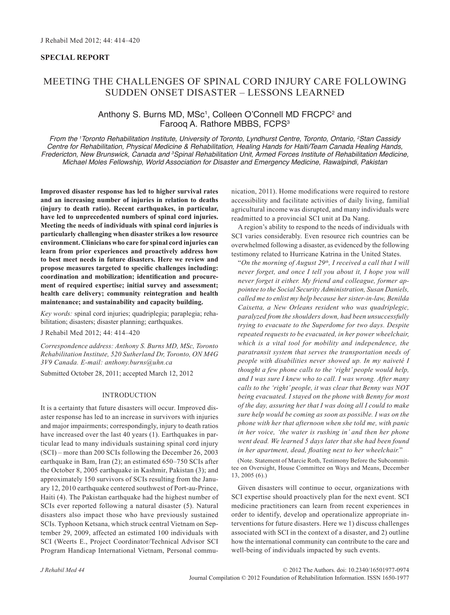# **Special Report**

# Meeting the Challenges of Spinal Cord Injury Care Following Sudden Onset Disaster – Lessons Learned

# Anthony S. Burns MD, MSc<sup>1</sup>, Colleen O'Connell MD FRCPC<sup>2</sup> and Faroog A. Rathore MBBS, FCPS<sup>3</sup>

*From the 1 Toronto Rehabilitation Institute, University of Toronto, Lyndhurst Centre, Toronto, Ontario, 2 Stan Cassidy Centre for Rehabilitation, Physical Medicine & Rehabilitation, Healing Hands for Haiti/Team Canada Healing Hands, Fredericton, New Brunswick, Canada and 3 Spinal Rehabilitation Unit, Armed Forces Institute of Rehabilitation Medicine, Michael Moles Fellowship, World Association for Disaster and Emergency Medicine, Rawalpindi, Pakistan*

**Improved disaster response has led to higher survival rates and an increasing number of injuries in relation to deaths (injury to death ratio). Recent earthquakes, in particular, have led to unprecedented numbers of spinal cord injuries. Meeting the needs of individuals with spinal cord injuries is particularly challenging when disaster strikes a low resource environment. Clinicians who care for spinal cord injuries can learn from prior experiences and proactively address how to best meet needs in future disasters. Here we review and propose measures targeted to specific challenges including: coordination and mobilization; identification and procurement of required expertise; initial survey and assessment; health care delivery; community reintegration and health maintenance; and sustainability and capacity building.** 

*Key words:* spinal cord injuries; quadriplegia; paraplegia; rehabilitation; disasters; disaster planning; earthquakes.

J Rehabil Med 2012; 44: 414–420

*Correspondence address: Anthony S. Burns MD, MSc, Toronto Rehabilitation Institute, 520 Sutherland Dr, Toronto, ON M4G 3V9 Canada. E-mail: anthony.burns@uhn.ca*

Submitted October 28, 2011; accepted March 12, 2012

## **INTRODUCTION**

It is a certainty that future disasters will occur. Improved disaster response has led to an increase in survivors with injuries and major impairments; correspondingly, injury to death ratios have increased over the last 40 years (1). Earthquakes in particular lead to many individuals sustaining spinal cord injury (SCI) – more than 200 SCIs following the December 26, 2003 earthquake in Bam, Iran (2); an estimated 650–750 SCIs after the October 8, 2005 earthquake in Kashmir, Pakistan (3); and approximately 150 survivors of SCIs resulting from the January 12, 2010 earthquake centered southwest of Port-au-Prince, Haiti (4). The Pakistan earthquake had the highest number of SCIs ever reported following a natural disaster (5). Natural disasters also impact those who have previously sustained SCIs. Typhoon Ketsana, which struck central Vietnam on September 29, 2009, affected an estimated 100 individuals with SCI (Weerts E., Project Coordinator/Technical Advisor SCI Program Handicap International Vietnam, Personal communication, 2011). Home modifications were required to restore accessibility and facilitate activities of daily living, familial agricultural income was disrupted, and many individuals were readmitted to a provincial SCI unit at Da Nang.

A region's ability to respond to the needs of individuals with SCI varies considerably. Even resource rich countries can be overwhelmed following a disaster, as evidenced by the following testimony related to Hurricane Katrina in the United States.

"On the morning of August 29<sup>th</sup>, I received a call that I will *never forget, and once I tell you about it, I hope you will never forget it either. My friend and colleague, former appointee to the Social Security Administration, Susan Daniels, called me to enlist my help because her sister-in-law, Benilda Caixetta, a New Orleans resident who was quadriplegic, paralyzed from the shoulders down, had been unsuccessfully trying to evacuate to the Superdome for two days. Despite repeated requests to be evacuated, in her power wheelchair, which is a vital tool for mobility and independence, the paratransit system that serves the transportation needs of people with disabilities never showed up. In my naiveté I thought a few phone calls to the 'right' people would help, and I was sure I knew who to call. I was wrong. After many calls to the 'right' people, it was clear that Benny was NOT being evacuated. I stayed on the phone with Benny for most of the day, assuring her that I was doing all I could to make sure help would be coming as soon as possible. I was on the phone with her that afternoon when she told me, with panic in her voice, 'the water is rushing in' and then her phone went dead. We learned 5 days later that she had been found in her apartment, dead, floating next to her wheelchair.*"

(Note. Statement of Marcie Roth, Testimony Before the Subcommittee on Oversight, House Committee on Ways and Means, December 13, 2005 (6).)

Given disasters will continue to occur, organizations with SCI expertise should proactively plan for the next event. SCI medicine practitioners can learn from recent experiences in order to identify, develop and operationalize appropriate interventions for future disasters. Here we 1) discuss challenges associated with SCI in the context of a disaster, and 2) outline how the international community can contribute to the care and well-being of individuals impacted by such events.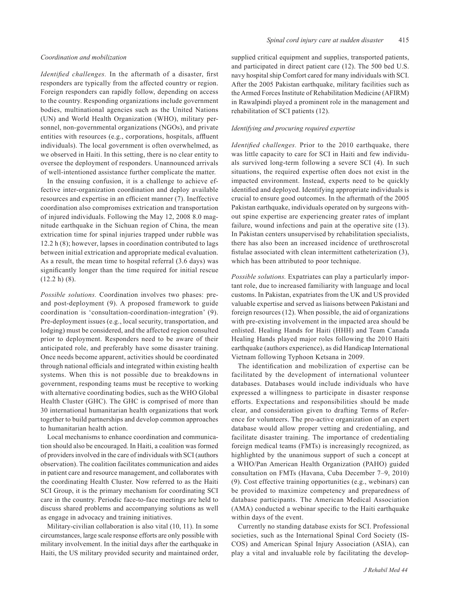# *Coordination and mobilization*

*Identified challenges.* In the aftermath of a disaster, first responders are typically from the affected country or region. Foreign responders can rapidly follow, depending on access to the country. Responding organizations include government bodies, multinational agencies such as the United Nations (UN) and World Health Organization (WHO), military personnel, non-governmental organizations (NGOs), and private entities with resources (e.g., corporations, hospitals, affluent individuals). The local government is often overwhelmed, as we observed in Haiti. In this setting, there is no clear entity to oversee the deployment of responders. Unannounced arrivals of well-intentioned assistance further complicate the matter.

In the ensuing confusion, it is a challenge to achieve effective inter-organization coordination and deploy available resources and expertise in an efficient manner (7). Ineffective coordination also compromises extrication and transportation of injured individuals. Following the May 12, 2008 8.0 magnitude earthquake in the Sichuan region of China, the mean extrication time for spinal injuries trapped under rubble was 12.2 h (8); however, lapses in coordination contributed to lags between initial extrication and appropriate medical evaluation. As a result, the mean time to hospital referral (3.6 days) was significantly longer than the time required for initial rescue  $(12.2 h) (8)$ .

*Possible solutions.* Coordination involves two phases: preand post-deployment (9). A proposed framework to guide coordination is 'consultation-coordination-integration' (9). Pre-deployment issues (e.g., local security, transportation, and lodging) must be considered, and the affected region consulted prior to deployment. Responders need to be aware of their anticipated role, and preferably have some disaster training. Once needs become apparent, activities should be coordinated through national officials and integrated within existing health systems. When this is not possible due to breakdowns in government, responding teams must be receptive to working with alternative coordinating bodies, such as the WHO Global Health Cluster (GHC). The GHC is comprised of more than 30 international humanitarian health organizations that work together to build partnerships and develop common approaches to humanitarian health action.

Local mechanisms to enhance coordination and communication should also be encouraged. In Haiti, a coalition was formed of providers involved in the care of individuals with SCI (authors observation). The coalition facilitates communication and aides in patient care and resource management, and collaborates with the coordinating Health Cluster. Now referred to as the Haiti SCI Group, it is the primary mechanism for coordinating SCI care in the country. Periodic face-to-face meetings are held to discuss shared problems and accompanying solutions as well as engage in advocacy and training initiatives.

Military-civilian collaboration is also vital (10, 11). In some circumstances, large scale response efforts are only possible with military involvement. In the initial days after the earthquake in Haiti, the US military provided security and maintained order, supplied critical equipment and supplies, transported patients, and participated in direct patient care (12). The 500 bed U.S. navy hospital ship Comfort cared for many individuals with SCI. After the 2005 Pakistan earthquake, military facilities such as the Armed Forces Institute of Rehabilitation Medicine (AFIRM) in Rawalpindi played a prominent role in the management and rehabilitation of SCI patients (12).

#### *Identifying and procuring required expertise*

*Identified challenges.* Prior to the 2010 earthquake, there was little capacity to care for SCI in Haiti and few individuals survived long-term following a severe SCI (4). In such situations, the required expertise often does not exist in the impacted environment. Instead, experts need to be quickly identified and deployed. Identifying appropriate individuals is crucial to ensure good outcomes. In the aftermath of the 2005 Pakistan earthquake, individuals operated on by surgeons without spine expertise are experiencing greater rates of implant failure, wound infections and pain at the operative site (13). In Pakistan centers unsupervised by rehabilitation specialists, there has also been an increased incidence of urethroscrotal fistulae associated with clean intermittent catheterization (3), which has been attributed to poor technique.

*Possible solutions.* Expatriates can play a particularly important role, due to increased familiarity with language and local customs. In Pakistan, expatriates from the UK and US provided valuable expertise and served as liaisons between Pakistani and foreign resources (12). When possible, the aid of organizations with pre-existing involvement in the impacted area should be enlisted. Healing Hands for Haiti (HHH) and Team Canada Healing Hands played major roles following the 2010 Haiti earthquake (authors experience), as did Handicap International Vietnam following Typhoon Ketsana in 2009.

The identification and mobilization of expertise can be facilitated by the development of international volunteer databases. Databases would include individuals who have expressed a willingness to participate in disaster response efforts. Expectations and responsibilities should be made clear, and consideration given to drafting Terms of Reference for volunteers. The pro-active organization of an expert database would allow proper vetting and credentialing, and facilitate disaster training. The importance of credentialing foreign medical teams (FMTs) is increasingly recognized, as highlighted by the unanimous support of such a concept at a WHO/Pan American Health Organization (PAHO) guided consultation on FMTs (Havana, Cuba December 7–9, 2010) (9). Cost effective training opportunities (e.g., webinars) can be provided to maximize competency and preparedness of database participants. The American Medical Association (AMA) conducted a webinar specific to the Haiti earthquake within days of the event.

Currently no standing database exists for SCI. Professional societies, such as the International Spinal Cord Society (IS-COS) and American Spinal Injury Association (ASIA), can play a vital and invaluable role by facilitating the develop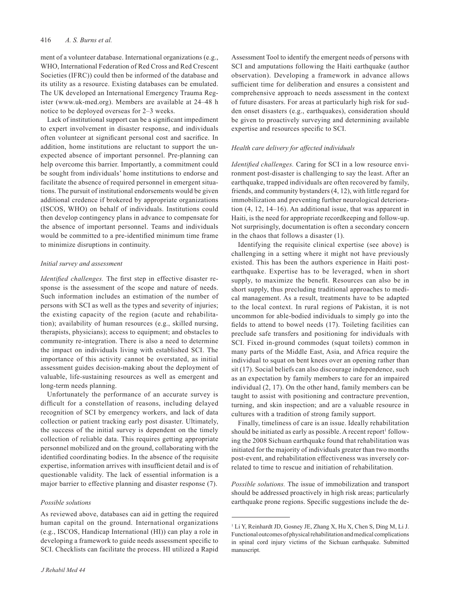ment of a volunteer database. International organizations (e.g., WHO, International Federation of Red Cross and Red Crescent Societies (IFRC)) could then be informed of the database and its utility as a resource. Existing databases can be emulated. The UK developed an International Emergency Trauma Register (www.uk-med.org). Members are available at 24–48 h notice to be deployed overseas for 2–3 weeks.

Lack of institutional support can be a significant impediment to expert involvement in disaster response, and individuals often volunteer at significant personal cost and sacrifice. In addition, home institutions are reluctant to support the unexpected absence of important personnel. Pre-planning can help overcome this barrier. Importantly, a commitment could be sought from individuals' home institutions to endorse and facilitate the absence of required personnel in emergent situations. The pursuit of institutional endorsements would be given additional credence if brokered by appropriate organizations (ISCOS, WHO) on behalf of individuals. Institutions could then develop contingency plans in advance to compensate for the absence of important personnel. Teams and individuals would be committed to a pre-identified minimum time frame to minimize disruptions in continuity.

# *Initial survey and assessment*

*Identified challenges.* The first step in effective disaster response is the assessment of the scope and nature of needs. Such information includes an estimation of the number of persons with SCI as well as the types and severity of injuries; the existing capacity of the region (acute and rehabilitation); availability of human resources (e.g., skilled nursing, therapists, physicians); access to equipment; and obstacles to community re-integration. There is also a need to determine the impact on individuals living with established SCI. The importance of this activity cannot be overstated, as initial assessment guides decision-making about the deployment of valuable, life-sustaining resources as well as emergent and long-term needs planning.

Unfortunately the performance of an accurate survey is difficult for a constellation of reasons, including delayed recognition of SCI by emergency workers, and lack of data collection or patient tracking early post disaster. Ultimately, the success of the initial survey is dependent on the timely collection of reliable data. This requires getting appropriate personnel mobilized and on the ground, collaborating with the identified coordinating bodies. In the absence of the requisite expertise, information arrives with insufficient detail and is of questionable validity. The lack of essential information is a major barrier to effective planning and disaster response (7).

#### *Possible solutions*

As reviewed above, databases can aid in getting the required human capital on the ground. International organizations (e.g., ISCOS, Handicap International (HI)) can play a role in developing a framework to guide needs assessment specific to SCI. Checklists can facilitate the process. HI utilized a Rapid Assessment Tool to identify the emergent needs of persons with SCI and amputations following the Haiti earthquake (author observation). Developing a framework in advance allows sufficient time for deliberation and ensures a consistent and comprehensive approach to needs assessment in the context of future disasters. For areas at particularly high risk for sudden onset disasters (e.g., earthquakes), consideration should be given to proactively surveying and determining available expertise and resources specific to SCI.

# *Health care delivery for affected individuals*

*Identified challenges.* Caring for SCI in a low resource environment post-disaster is challenging to say the least. After an earthquake, trapped individuals are often recovered by family, friends, and community bystanders (4, 12), with little regard for immobilization and preventing further neurological deterioration (4, 12, 14–16). An additional issue, that was apparent in Haiti, is the need for appropriate recordkeeping and follow-up. Not surprisingly, documentation is often a secondary concern in the chaos that follows a disaster (1).

Identifying the requisite clinical expertise (see above) is challenging in a setting where it might not have previously existed. This has been the authors experience in Haiti postearthquake. Expertise has to be leveraged, when in short supply, to maximize the benefit. Resources can also be in short supply, thus precluding traditional approaches to medical management. As a result, treatments have to be adapted to the local context. In rural regions of Pakistan, it is not uncommon for able-bodied individuals to simply go into the fields to attend to bowel needs (17). Toileting facilities can preclude safe transfers and positioning for individuals with SCI. Fixed in-ground commodes (squat toilets) common in many parts of the Middle East, Asia, and Africa require the individual to squat on bent knees over an opening rather than sit (17). Social beliefs can also discourage independence, such as an expectation by family members to care for an impaired individual (2, 17). On the other hand, family members can be taught to assist with positioning and contracture prevention, turning, and skin inspection; and are a valuable resource in cultures with a tradition of strong family support.

Finally, timeliness of care is an issue. Ideally rehabilitation should be initiated as early as possible. A recent report<sup>1</sup> following the 2008 Sichuan earthquake found that rehabilitation was initiated for the majority of individuals greater than two months post-event, and rehabilitation effectiveness was inversely correlated to time to rescue and initiation of rehabilitation.

*Possible solutions.* The issue of immobilization and transport should be addressed proactively in high risk areas; particularly earthquake prone regions. Specific suggestions include the de-

<sup>1</sup> Li Y, Reinhardt JD, Gosney JE, Zhang X, Hu X, Chen S, Ding M, Li J. Functional outcomes of physical rehabilitation and medical complications in spinal cord injury victims of the Sichuan earthquake. Submitted manuscript.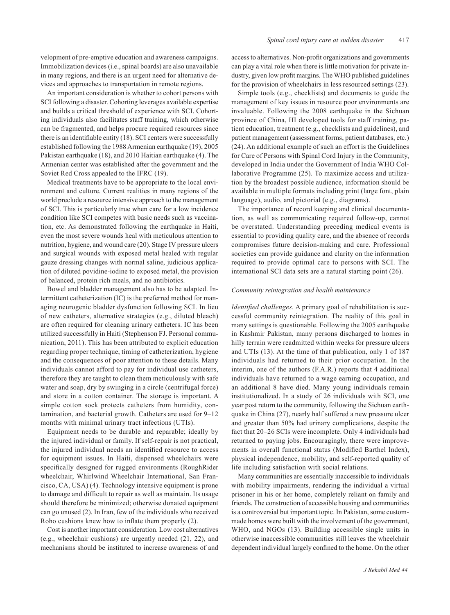velopment of pre-emptive education and awareness campaigns. Immobilization devices (i.e., spinal boards) are also unavailable in many regions, and there is an urgent need for alternative devices and approaches to transportation in remote regions.

An important consideration is whether to cohort persons with SCI following a disaster. Cohorting leverages available expertise and builds a critical threshold of experience with SCI. Cohorting individuals also facilitates staff training, which otherwise can be fragmented, and helps procure required resources since there is an identifiable entity (18). SCI centers were successfully established following the 1988 Armenian earthquake (19), 2005 Pakistan earthquake (18), and 2010 Haitian earthquake (4). The Armenian center was established after the government and the Soviet Red Cross appealed to the IFRC (19).

Medical treatments have to be appropriate to the local environment and culture. Current realities in many regions of the world preclude a resource intensive approach to the management of SCI. This is particularly true when care for a low incidence condition like SCI competes with basic needs such as vaccination, etc. As demonstrated following the earthquake in Haiti, even the most severe wounds heal with meticulous attention to nutrition, hygiene, and wound care (20). Stage IV pressure ulcers and surgical wounds with exposed metal healed with regular gauze dressing changes with normal saline, judicious application of diluted povidine-iodine to exposed metal, the provision of balanced, protein rich meals, and no antibiotics.

Bowel and bladder management also has to be adapted. Intermittent catheterization (IC) is the preferred method for managing neurogenic bladder dysfunction following SCI. In lieu of new catheters, alternative strategies (e.g., diluted bleach) are often required for cleaning urinary catheters. IC has been utilized successfully in Haiti (Stephenson FJ. Personal communication, 2011). This has been attributed to explicit education regarding proper technique, timing of catheterization, hygiene and the consequences of poor attention to these details. Many individuals cannot afford to pay for individual use catheters, therefore they are taught to clean them meticulously with safe water and soap, dry by swinging in a circle (centrifugal force) and store in a cotton container. The storage is important. A simple cotton sock protects catheters from humidity, contamination, and bacterial growth. Catheters are used for 9–12 months with minimal urinary tract infections (UTIs).

Equipment needs to be durable and reparable; ideally by the injured individual or family. If self-repair is not practical, the injured individual needs an identified resource to access for equipment issues. In Haiti, dispensed wheelchairs were specifically designed for rugged environments (RoughRider wheelchair, Whirlwind Wheelchair International, San Francisco, CA, USA) (4). Technology intensive equipment is prone to damage and difficult to repair as well as maintain. Its usage should therefore be minimized; otherwise donated equipment can go unused (2). In Iran, few of the individuals who received Roho cushions knew how to inflate them properly (2).

Cost is another important consideration. Low cost alternatives (e.g., wheelchair cushions) are urgently needed (21, 22), and mechanisms should be instituted to increase awareness of and access to alternatives. Non-profit organizations and governments can play a vital role when there is little motivation for private industry, given low profit margins. The WHO published guidelines for the provision of wheelchairs in less resourced settings (23).

Simple tools (e.g., checklists) and documents to guide the management of key issues in resource poor environments are invaluable. Following the 2008 earthquake in the Sichuan province of China, HI developed tools for staff training, patient education, treatment (e.g., checklists and guidelines), and patient management (assessment forms, patient databases, etc.) (24). An additional example of such an effort is the Guidelines for Care of Persons with Spinal Cord Injury in the Community, developed in India under the Government of India WHO Collaborative Programme (25). To maximize access and utilization by the broadest possible audience, information should be available in multiple formats including print (large font, plain language), audio, and pictorial (e.g., diagrams).

The importance of record keeping and clinical documentation, as well as communicating required follow-up, cannot be overstated. Understanding preceding medical events is essential to providing quality care, and the absence of records compromises future decision-making and care. Professional societies can provide guidance and clarity on the information required to provide optimal care to persons with SCI. The international SCI data sets are a natural starting point (26).

#### *Community reintegration and health maintenance*

*Identified challenges*. A primary goal of rehabilitation is successful community reintegration. The reality of this goal in many settings is questionable. Following the 2005 earthquake in Kashmir Pakistan, many persons discharged to homes in hilly terrain were readmitted within weeks for pressure ulcers and UTIs (13). At the time of that publication, only 1 of 187 individuals had returned to their prior occupation. In the interim, one of the authors (F.A.R.) reports that 4 additional individuals have returned to a wage earning occupation, and an additional 8 have died. Many young individuals remain institutionalized. In a study of 26 individuals with SCI, one year post return to the community, following the Sichuan earthquake in China (27), nearly half suffered a new pressure ulcer and greater than 50% had urinary complications, despite the fact that 20–26 SCIs were incomplete. Only 4 individuals had returned to paying jobs. Encouragingly, there were improvements in overall functional status (Modified Barthel Index), physical independence, mobility, and self-reported quality of life including satisfaction with social relations.

Many communities are essentially inaccessible to individuals with mobility impairments, rendering the individual a virtual prisoner in his or her home, completely reliant on family and friends. The construction of accessible housing and communities is a controversial but important topic. In Pakistan, some custommade homes were built with the involvement of the government, WHO, and NGOs (13). Building accessible single units in otherwise inaccessible communities still leaves the wheelchair dependent individual largely confined to the home. On the other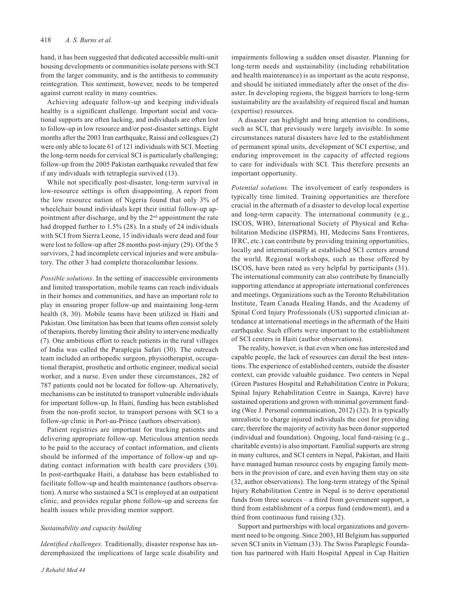hand, it has been suggested that dedicated accessible multi-unit housing developments or communities isolate persons with SCI from the larger community, and is the antithesis to community reintegration. This sentiment, however, needs to be tempered against current reality in many countries.

Achieving adequate follow-up and keeping individuals healthy is a significant challenge. Important social and vocational supports are often lacking, and individuals are often lost to follow-up in low resource and/or post-disaster settings. Eight months after the 2003 Iran earthquake, Raissi and colleagues (2) were only able to locate 61 of 121 individuals with SCI. Meeting the long-term needs for cervical SCI is particularly challenging; follow-up from the 2005 Pakistan earthquake revealed that few if any individuals with tetraplegia survived (13).

While not specifically post-disaster, long-term survival in low-resource settings is often disappointing. A report from the low resource nation of Nigeria found that only 3% of wheelchair bound individuals kept their initial follow-up appointment after discharge, and by the 2<sup>nd</sup> appointment the rate had dropped further to 1.5% (28). In a study of 24 individuals with SCI from Sierra Leone, 15 individuals were dead and four were lost to follow-up after 28 months post-injury (29). Of the 5 survivors, 2 had incomplete cervical injuries and were ambulatory. The other 3 had complete thoracolumbar lesions.

*Possible solutions*. In the setting of inaccessible environments and limited transportation, mobile teams can reach individuals in their homes and communities, and have an important role to play in ensuring proper follow-up and maintaining long-term health (8, 30). Mobile teams have been utilized in Haiti and Pakistan. One limitation has been that teams often consist solely of therapists, thereby limiting their ability to intervene medically (7). One ambitious effort to reach patients in the rural villages of India was called the Paraplegia Safari (30). The outreach team included an orthopedic surgeon, physiotherapist, occupational therapist, prosthetic and orthotic engineer, medical social worker, and a nurse. Even under these circumstances, 282 of 787 patients could not be located for follow-up. Alternatively, mechanisms can be instituted to transport vulnerable individuals for important follow-up. In Haiti, funding has been established from the non-profit sector, to transport persons with SCI to a follow-up clinic in Port-au-Prince (authors observation).

Patient registries are important for tracking patients and delivering appropriate follow-up. Meticulous attention needs to be paid to the accuracy of contact information, and clients should be informed of the importance of follow-up and updating contact information with health care providers (30). In post-earthquake Haiti, a database has been established to facilitate follow-up and health maintenance (authors observation). A nurse who sustained a SCI is employed at an outpatient clinic, and provides regular phone follow-up and screens for health issues while providing mentor support.

# *Sustainability and capacity building*

*Identified challenges.* Traditionally, disaster response has underemphasized the implications of large scale disability and impairments following a sudden onset disaster. Planning for long-term needs and sustainability (including rehabilitation and health maintenance) is as important as the acute response, and should be initiated immediately after the onset of the disaster. In developing regions, the biggest barriers to long-term sustainability are the availability of required fiscal and human (expertise) resources.

A disaster can highlight and bring attention to conditions, such as SCI, that previously were largely invisible. In some circumstances natural disasters have led to the establishment of permanent spinal units, development of SCI expertise, and enduring improvement in the capacity of affected regions to care for individuals with SCI. This therefore presents an important opportunity.

*Potential solutions.* The involvement of early responders is typically time limited. Training opportunities are therefore crucial in the aftermath of a disaster to develop local expertise and long-term capacity. The international community (e.g., ISCOS, WHO, International Society of Physical and Rehabilitation Medicine (ISPRM), HI, Medecins Sans Frontieres, IFRC, etc.) can contribute by providing training opportunities, locally and internationally at established SCI centers around the world. Regional workshops, such as those offered by ISCOS, have been rated as very helpful by participants (31). The international community can also contribute by financially supporting attendance at appropriate international conferences and meetings. Organizations such as the Toronto Rehabilitation Institute, Team Canada Healing Hands, and the Academy of Spinal Cord Injury Professionals (US) supported clinician attendance at international meetings in the aftermath of the Haiti earthquake. Such efforts were important to the establishment of SCI centers in Haiti (author observations).

The reality, however, is that even when one has interested and capable people, the lack of resources can derail the best intentions. The experience of established centers, outside the disaster context, can provide valuable guidance. Two centers in Nepal (Green Pastures Hospital and Rehabilitation Centre in Pokura; Spinal Injury Rehabilitation Centre in Saanga, Kavre) have sustained operations and grown with minimal government funding (Wee J. Personal communication, 2012) (32). It is typically unrealistic to charge injured individuals the cost for providing care; therefore the majority of activity has been donor supported (individual and foundation). Ongoing, local fund-raising (e.g., charitable events) is also important. Familial supports are strong in many cultures, and SCI centers in Nepal, Pakistan, and Haiti have managed human resource costs by engaging family members in the provision of care, and even having them stay on site (32, author observations). The long-term strategy of the Spinal Injury Rehabilitation Centre in Nepal is to derive operational funds from three sources – a third from government support, a third from establishment of a corpus fund (endowment), and a third from continuous fund raising (32).

Support and partnerships with local organizations and government need to be ongoing. Since 2003, HI Belgium has supported seven SCI units in Vietnam (33). The Swiss Paraplegic Foundation has partnered with Haiti Hospital Appeal in Cap Haitien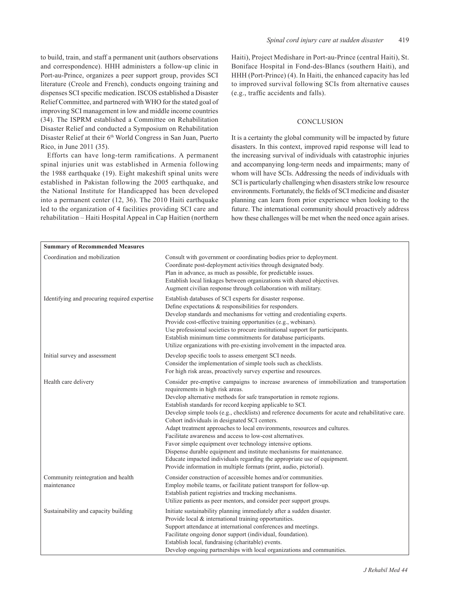to build, train, and staff a permanent unit (authors observations and correspondence). HHH administers a follow-up clinic in Port-au-Prince, organizes a peer support group, provides SCI literature (Creole and French), conducts ongoing training and dispenses SCI specific medication. ISCOS established a Disaster Relief Committee, and partnered with WHO for the stated goal of improving SCI management in low and middle income countries (34). The ISPRM established a Committee on Rehabilitation Disaster Relief and conducted a Symposium on Rehabilitation Disaster Relief at their 6<sup>th</sup> World Congress in San Juan, Puerto Rico, in June 2011 (35).

Efforts can have long-term ramifications. A permanent spinal injuries unit was established in Armenia following the 1988 earthquake (19). Eight makeshift spinal units were established in Pakistan following the 2005 earthquake, and the National Institute for Handicapped has been developed into a permanent center (12, 36). The 2010 Haiti earthquake led to the organization of 4 facilities providing SCI care and rehabilitation – Haiti Hospital Appeal in Cap Haitien (northern Haiti), Project Medishare in Port-au-Prince (central Haiti), St. Boniface Hospital in Fond-des-Blancs (southern Haiti), and HHH (Port-Prince) (4). In Haiti, the enhanced capacity has led to improved survival following SCIs from alternative causes (e.g., traffic accidents and falls).

# **CONCLUSION**

It is a certainty the global community will be impacted by future disasters. In this context, improved rapid response will lead to the increasing survival of individuals with catastrophic injuries and accompanying long-term needs and impairments; many of whom will have SCIs. Addressing the needs of individuals with SCI is particularly challenging when disasters strike low resource environments. Fortunately, the fields of SCI medicine and disaster planning can learn from prior experience when looking to the future. The international community should proactively address how these challenges will be met when the need once again arises.

| <b>Summary of Recommended Measures</b>            |                                                                                                                                                                                                                                                                                                                                                                                                                                                                                                                                                                                                                                                                                                                                                                                                                                                              |
|---------------------------------------------------|--------------------------------------------------------------------------------------------------------------------------------------------------------------------------------------------------------------------------------------------------------------------------------------------------------------------------------------------------------------------------------------------------------------------------------------------------------------------------------------------------------------------------------------------------------------------------------------------------------------------------------------------------------------------------------------------------------------------------------------------------------------------------------------------------------------------------------------------------------------|
| Coordination and mobilization                     | Consult with government or coordinating bodies prior to deployment.<br>Coordinate post-deployment activities through designated body.<br>Plan in advance, as much as possible, for predictable issues.<br>Establish local linkages between organizations with shared objectives.<br>Augment civilian response through collaboration with military.                                                                                                                                                                                                                                                                                                                                                                                                                                                                                                           |
| Identifying and procuring required expertise      | Establish databases of SCI experts for disaster response.<br>Define expectations & responsibilities for responders.<br>Develop standards and mechanisms for vetting and credentialing experts.<br>Provide cost-effective training opportunities (e.g., webinars).<br>Use professional societies to procure institutional support for participants.<br>Establish minimum time commitments for database participants.<br>Utilize organizations with pre-existing involvement in the impacted area.                                                                                                                                                                                                                                                                                                                                                             |
| Initial survey and assessment                     | Develop specific tools to assess emergent SCI needs.<br>Consider the implementation of simple tools such as checklists.<br>For high risk areas, proactively survey expertise and resources.                                                                                                                                                                                                                                                                                                                                                                                                                                                                                                                                                                                                                                                                  |
| Health care delivery                              | Consider pre-emptive campaigns to increase awareness of immobilization and transportation<br>requirements in high risk areas.<br>Develop alternative methods for safe transportation in remote regions.<br>Establish standards for record keeping applicable to SCI.<br>Develop simple tools (e.g., checklists) and reference documents for acute and rehabilitative care.<br>Cohort individuals in designated SCI centers.<br>Adapt treatment approaches to local environments, resources and cultures.<br>Facilitate awareness and access to low-cost alternatives.<br>Favor simple equipment over technology intensive options.<br>Dispense durable equipment and institute mechanisms for maintenance.<br>Educate impacted individuals regarding the appropriate use of equipment.<br>Provide information in multiple formats (print, audio, pictorial). |
| Community reintegration and health<br>maintenance | Consider construction of accessible homes and/or communities.<br>Employ mobile teams, or facilitate patient transport for follow-up.<br>Establish patient registries and tracking mechanisms.<br>Utilize patients as peer mentors, and consider peer support groups.                                                                                                                                                                                                                                                                                                                                                                                                                                                                                                                                                                                         |
| Sustainability and capacity building              | Initiate sustainability planning immediately after a sudden disaster.<br>Provide local & international training opportunities.<br>Support attendance at international conferences and meetings.<br>Facilitate ongoing donor support (individual, foundation).<br>Establish local, fundraising (charitable) events.<br>Develop ongoing partnerships with local organizations and communities.                                                                                                                                                                                                                                                                                                                                                                                                                                                                 |